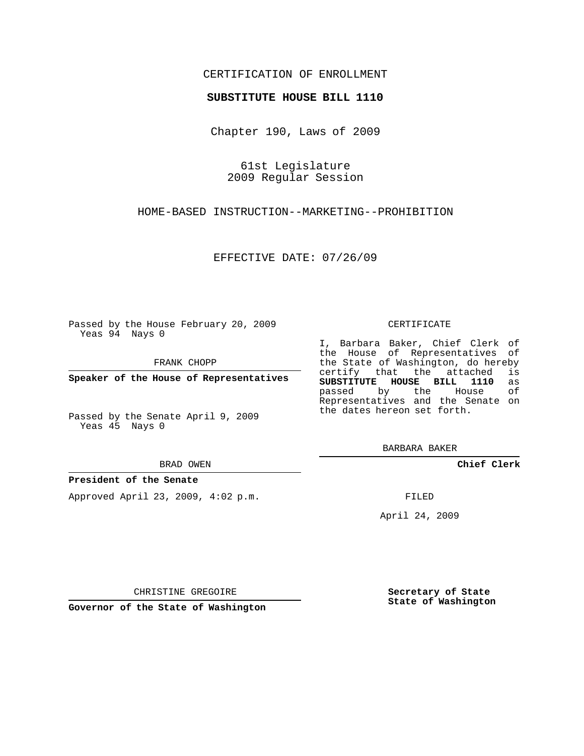## CERTIFICATION OF ENROLLMENT

#### **SUBSTITUTE HOUSE BILL 1110**

Chapter 190, Laws of 2009

61st Legislature 2009 Regular Session

HOME-BASED INSTRUCTION--MARKETING--PROHIBITION

EFFECTIVE DATE: 07/26/09

Passed by the House February 20, 2009 Yeas 94 Nays 0

FRANK CHOPP

**Speaker of the House of Representatives**

Passed by the Senate April 9, 2009 Yeas 45 Nays 0

BRAD OWEN

#### **President of the Senate**

Approved April 23, 2009, 4:02 p.m.

CERTIFICATE

I, Barbara Baker, Chief Clerk of the House of Representatives of the State of Washington, do hereby<br>certify that the attached is certify that the attached **SUBSTITUTE HOUSE BILL 1110** as passed by the Representatives and the Senate on the dates hereon set forth.

BARBARA BAKER

**Chief Clerk**

FILED

April 24, 2009

CHRISTINE GREGOIRE

**Governor of the State of Washington**

**Secretary of State State of Washington**